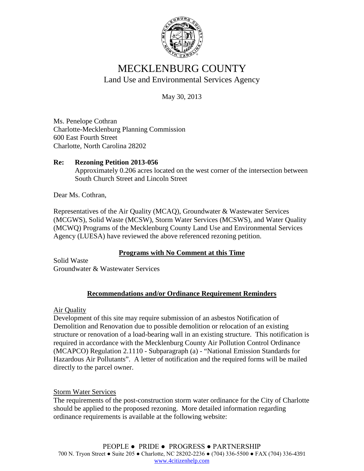

# MECKLENBURG COUNTY Land Use and Environmental Services Agency

May 30, 2013

Ms. Penelope Cothran Charlotte-Mecklenburg Planning Commission 600 East Fourth Street Charlotte, North Carolina 28202

### **Re: Rezoning Petition 2013-056** Approximately 0.206 acres located on the west corner of the intersection between South Church Street and Lincoln Street

Dear Ms. Cothran,

Representatives of the Air Quality (MCAQ), Groundwater & Wastewater Services (MCGWS), Solid Waste (MCSW), Storm Water Services (MCSWS), and Water Quality (MCWQ) Programs of the Mecklenburg County Land Use and Environmental Services Agency (LUESA) have reviewed the above referenced rezoning petition.

## **Programs with No Comment at this Time**

Solid Waste Groundwater & Wastewater Services

# **Recommendations and/or Ordinance Requirement Reminders**

Air Quality

Development of this site may require submission of an asbestos Notification of Demolition and Renovation due to possible demolition or relocation of an existing structure or renovation of a load-bearing wall in an existing structure. This notification is required in accordance with the Mecklenburg County Air Pollution Control Ordinance (MCAPCO) Regulation 2.1110 - Subparagraph (a) - "National Emission Standards for Hazardous Air Pollutants". A letter of notification and the required forms will be mailed directly to the parcel owner.

## Storm Water Services

The requirements of the post-construction storm water ordinance for the City of Charlotte should be applied to the proposed rezoning. More detailed information regarding ordinance requirements is available at the following website: